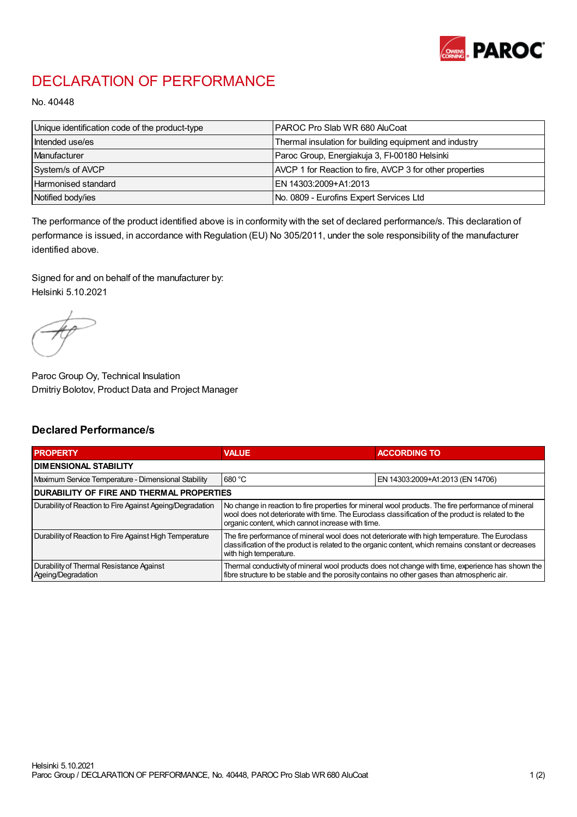

## DECLARATION OF PERFORMANCE

No. 40448

| Unique identification code of the product-type | PAROC Pro Slab WR 680 AluCoat                            |
|------------------------------------------------|----------------------------------------------------------|
| Intended use/es                                | Thermal insulation for building equipment and industry   |
| Manufacturer                                   | Paroc Group, Energiakuja 3, FI-00180 Helsinki            |
| System/s of AVCP                               | AVCP 1 for Reaction to fire, AVCP 3 for other properties |
| Harmonised standard                            | IEN 14303:2009+A1:2013                                   |
| Notified body/ies                              | No. 0809 - Eurofins Expert Services Ltd                  |

The performance of the product identified above is in conformity with the set of declared performance/s. This declaration of performance is issued, in accordance with Regulation (EU) No 305/2011, under the sole responsibility of the manufacturer identified above.

Signed for and on behalf of the manufacturer by: Helsinki 5.10.2021

Paroc Group Oy, Technical Insulation Dmitriy Bolotov, Product Data and Project Manager

## Declared Performance/s

| <b>PROPERTY</b>                                                | <b>VALUE</b>                                                                                                                                                                                                                                                   | <b>ACCORDING TO.</b>             |  |
|----------------------------------------------------------------|----------------------------------------------------------------------------------------------------------------------------------------------------------------------------------------------------------------------------------------------------------------|----------------------------------|--|
| <b>DIMENSIONAL STABILITY</b>                                   |                                                                                                                                                                                                                                                                |                                  |  |
| Maximum Service Temperature - Dimensional Stability            | 680 °C                                                                                                                                                                                                                                                         | EN 14303:2009+A1:2013 (EN 14706) |  |
| <b>DURABILITY OF FIRE AND THERMAL PROPERTIES</b>               |                                                                                                                                                                                                                                                                |                                  |  |
| Durability of Reaction to Fire Against Ageing/Degradation      | No change in reaction to fire properties for mineral wool products. The fire performance of mineral<br>wool does not deteriorate with time. The Euroclass classification of the product is related to the<br>organic content, which cannot increase with time. |                                  |  |
| Durability of Reaction to Fire Against High Temperature        | The fire performance of mineral wool does not deteriorate with high temperature. The Euroclass<br>classification of the product is related to the organic content, which remains constant or decreases<br>with high temperature.                               |                                  |  |
| Durability of Thermal Resistance Against<br>Ageing/Degradation | Thermal conductivity of mineral wool products does not change with time, experience has shown the<br>fibre structure to be stable and the porosity contains no other gases than atmospheric air.                                                               |                                  |  |